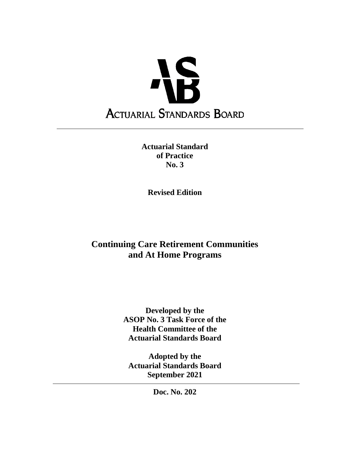

**Actuarial Standard of Practice No. 3**

**Revised Edition**

# **Continuing Care Retirement Communities and At Home Programs**

**Developed by the ASOP No. 3 Task Force of the Health Committee of the Actuarial Standards Board**

**Adopted by the Actuarial Standards Board September 2021**

**Doc. No. 202**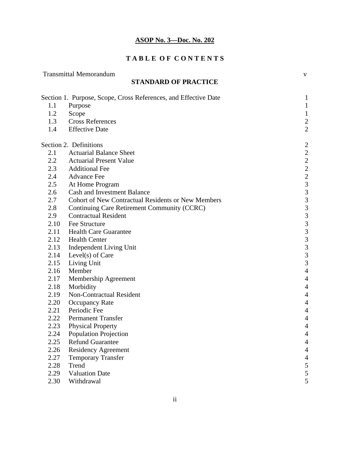# **T A B L E O F C O N T E N T S**

|      | <b>Transmittal Memorandum</b>                                   | $\mathbf V$                                |
|------|-----------------------------------------------------------------|--------------------------------------------|
|      | <b>STANDARD OF PRACTICE</b>                                     |                                            |
|      | Section 1. Purpose, Scope, Cross References, and Effective Date | $\mathbf{1}$                               |
| 1.1  | Purpose                                                         | $\mathbf{1}$                               |
| 1.2  | Scope                                                           | $\mathbf{1}$                               |
| 1.3  | <b>Cross References</b>                                         | $\overline{c}$                             |
| 1.4  | <b>Effective Date</b>                                           | $\overline{2}$                             |
|      | Section 2. Definitions                                          | $\overline{c}$                             |
| 2.1  | <b>Actuarial Balance Sheet</b>                                  |                                            |
| 2.2  | <b>Actuarial Present Value</b>                                  | $\begin{array}{c} 2 \\ 2 \\ 2 \end{array}$ |
| 2.3  | <b>Additional Fee</b>                                           |                                            |
| 2.4  | <b>Advance Fee</b>                                              | $\overline{c}$                             |
| 2.5  | At Home Program                                                 | $\overline{\mathbf{3}}$                    |
| 2.6  | <b>Cash and Investment Balance</b>                              | 3                                          |
| 2.7  | <b>Cohort of New Contractual Residents or New Members</b>       | $\mathfrak{Z}$                             |
| 2.8  | Continuing Care Retirement Community (CCRC)                     | $\mathfrak{Z}$                             |
| 2.9  | <b>Contractual Resident</b>                                     | 3                                          |
| 2.10 | Fee Structure                                                   | $\mathfrak{Z}$                             |
| 2.11 | <b>Health Care Guarantee</b>                                    | 3                                          |
| 2.12 | <b>Health Center</b>                                            | $\overline{3}$                             |
| 2.13 | Independent Living Unit                                         | $\overline{\mathbf{3}}$                    |
| 2.14 | Level(s) of Care                                                | $\mathfrak{Z}$                             |
| 2.15 | Living Unit                                                     | $\mathfrak{Z}$                             |
| 2.16 | Member                                                          | $\overline{4}$                             |
| 2.17 | Membership Agreement                                            | $\overline{4}$                             |
| 2.18 | Morbidity                                                       | $\overline{4}$                             |
| 2.19 | <b>Non-Contractual Resident</b>                                 | $\overline{4}$                             |
| 2.20 | <b>Occupancy Rate</b>                                           | $\overline{4}$                             |
| 2.21 | Periodic Fee                                                    | $\overline{4}$                             |
| 2.22 | <b>Permanent Transfer</b>                                       | 4                                          |
| 2.23 | <b>Physical Property</b>                                        | 4                                          |
| 2.24 | <b>Population Projection</b>                                    | $\overline{4}$                             |
| 2.25 | <b>Refund Guarantee</b>                                         | $\overline{4}$                             |
| 2.26 | <b>Residency Agreement</b>                                      | $\overline{4}$                             |
| 2.27 | <b>Temporary Transfer</b>                                       | $\overline{4}$                             |
| 2.28 | Trend                                                           | 5                                          |
| 2.29 | <b>Valuation Date</b>                                           | 5                                          |
| 2.30 | Withdrawal                                                      | 5                                          |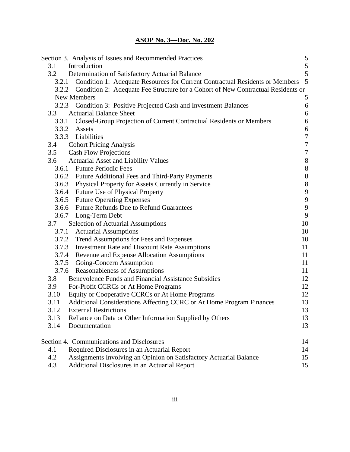|       | Section 3. Analysis of Issues and Recommended Practices                                | 5                                     |
|-------|----------------------------------------------------------------------------------------|---------------------------------------|
| 3.1   | Introduction                                                                           | 5                                     |
| 3.2   | Determination of Satisfactory Actuarial Balance                                        | 5                                     |
| 3.2.1 | Condition 1: Adequate Resources for Current Contractual Residents or Members           | 5                                     |
|       | 3.2.2 Condition 2: Adequate Fee Structure for a Cohort of New Contractual Residents or |                                       |
|       | New Members                                                                            | 5                                     |
|       | 3.2.3 Condition 3: Positive Projected Cash and Investment Balances                     | $\boldsymbol{6}$                      |
| 3.3   | <b>Actuarial Balance Sheet</b>                                                         | $\boldsymbol{6}$                      |
|       | 3.3.1 Closed-Group Projection of Current Contractual Residents or Members              | 6                                     |
|       | 3.3.2 Assets                                                                           | $\boldsymbol{6}$                      |
|       | 3.3.3 Liabilities                                                                      | $\boldsymbol{7}$                      |
| 3.4   | <b>Cohort Pricing Analysis</b>                                                         | $\sqrt{ }$                            |
| 3.5   | <b>Cash Flow Projections</b>                                                           | $\boldsymbol{7}$                      |
| 3.6   | <b>Actuarial Asset and Liability Values</b>                                            |                                       |
|       | 3.6.1 Future Periodic Fees                                                             | $\begin{array}{c} 8 \\ 8 \end{array}$ |
|       | 3.6.2 Future Additional Fees and Third-Party Payments                                  | 8                                     |
|       | 3.6.3 Physical Property for Assets Currently in Service                                | 8                                     |
|       | 3.6.4 Future Use of Physical Property                                                  | 9                                     |
|       | 3.6.5 Future Operating Expenses                                                        | $\overline{9}$                        |
|       | 3.6.6 Future Refunds Due to Refund Guarantees                                          | $\overline{9}$                        |
|       | 3.6.7 Long-Term Debt                                                                   | 9                                     |
| 3.7   | <b>Selection of Actuarial Assumptions</b>                                              | 10                                    |
|       | 3.7.1 Actuarial Assumptions                                                            | 10                                    |
|       | 3.7.2 Trend Assumptions for Fees and Expenses                                          | 10                                    |
|       | 3.7.3 Investment Rate and Discount Rate Assumptions                                    | 11                                    |
|       | 3.7.4 Revenue and Expense Allocation Assumptions                                       | 11                                    |
|       | 3.7.5 Going-Concern Assumption                                                         | 11                                    |
|       | 3.7.6 Reasonableness of Assumptions                                                    | 11                                    |
| 3.8   | <b>Benevolence Funds and Financial Assistance Subsidies</b>                            | 12                                    |
| 3.9   | For-Profit CCRCs or At Home Programs                                                   | 12                                    |
| 3.10  | Equity or Cooperative CCRCs or At Home Programs                                        | 12                                    |
| 3.11  | Additional Considerations Affecting CCRC or At Home Program Finances                   | 13                                    |
| 3.12  | <b>External Restrictions</b>                                                           | 13                                    |
| 3.13  | Reliance on Data or Other Information Supplied by Others                               | 13                                    |
| 3.14  | Documentation                                                                          | 13                                    |
|       | Section 4. Communications and Disclosures                                              | 14                                    |
| 4.1   | Required Disclosures in an Actuarial Report                                            | 14                                    |
| 4.2   | Assignments Involving an Opinion on Satisfactory Actuarial Balance                     | 15                                    |
| 4.3   | Additional Disclosures in an Actuarial Report                                          | 15                                    |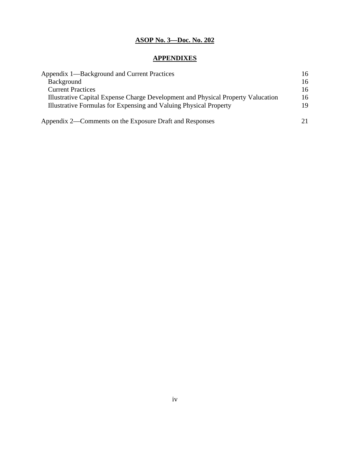# **APPENDIXES**

| Appendix 1—Background and Current Practices                                      | 16 |
|----------------------------------------------------------------------------------|----|
| Background                                                                       | 16 |
| <b>Current Practices</b>                                                         | 16 |
| Illustrative Capital Expense Charge Development and Physical Property Valucation | 16 |
| Illustrative Formulas for Expensing and Valuing Physical Property                | 19 |
| Appendix 2—Comments on the Exposure Draft and Responses                          | 21 |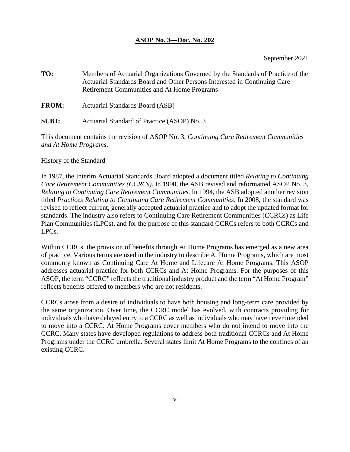**TO:** Members of Actuarial Organizations Governed by the Standards of Practice of the Actuarial Standards Board and Other Persons Interested in Continuing Care Retirement Communities and At Home Programs

**FROM:** Actuarial Standards Board (ASB)

**SUBJ:** Actuarial Standard of Practice (ASOP) No. 3

This document contains the revision of ASOP No. 3, *Continuing Care Retirement Communities and At Home Programs*.

#### History of the Standard

In 1987, the Interim Actuarial Standards Board adopted a document titled *Relating to Continuing Care Retirement Communities (CCRCs)*. In 1990, the ASB revised and reformatted ASOP No. 3, *Relating to Continuing Care Retirement Communities.* In 1994, the ASB adopted another revision titled *Practices Relating to Continuing Care Retirement Communities*. In 2008, the standard was revised to reflect current, generally accepted actuarial practice and to adopt the updated format for standards. The industry also refers to Continuing Care Retirement Communities (CCRCs) as Life Plan Communities (LPCs), and for the purpose of this standard CCRCs refers to both CCRCs and LPCs.

Within CCRCs, the provision of benefits through At Home Programs has emerged as a new area of practice. Various terms are used in the industry to describe At Home Programs, which are most commonly known as Continuing Care At Home and Lifecare At Home Programs. This ASOP addresses actuarial practice for both CCRCs and At Home Programs. For the purposes of this ASOP, the term "CCRC" reflects the traditional industry product and the term "At Home Program" reflects benefits offered to members who are not residents.

CCRCs arose from a desire of individuals to have both housing and long-term care provided by the same organization. Over time, the CCRC model has evolved, with contracts providing for individuals who have delayed entry to a CCRC as well as individuals who may have never intended to move into a CCRC. At Home Programs cover members who do not intend to move into the CCRC. Many states have developed regulations to address both traditional CCRCs and At Home Programs under the CCRC umbrella. Several states limit At Home Programs to the confines of an existing CCRC.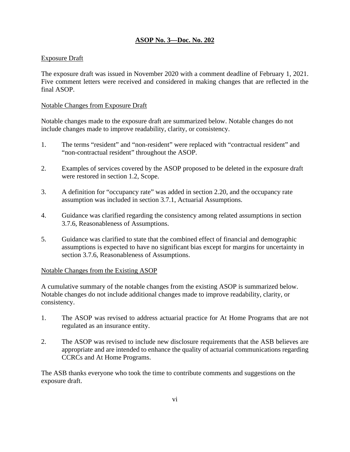#### Exposure Draft

The exposure draft was issued in November 2020 with a comment deadline of February 1, 2021. Five comment letters were received and considered in making changes that are reflected in the final ASOP.

#### Notable Changes from Exposure Draft

Notable changes made to the exposure draft are summarized below. Notable changes do not include changes made to improve readability, clarity, or consistency.

- 1. The terms "resident" and "non-resident" were replaced with "contractual resident" and "non-contractual resident" throughout the ASOP.
- 2. Examples of services covered by the ASOP proposed to be deleted in the exposure draft were restored in section 1.2, Scope.
- 3. A definition for "occupancy rate" was added in section 2.20, and the occupancy rate assumption was included in section 3.7.1, Actuarial Assumptions.
- 4. Guidance was clarified regarding the consistency among related assumptions in section 3.7.6, Reasonableness of Assumptions.
- 5. Guidance was clarified to state that the combined effect of financial and demographic assumptions is expected to have no significant bias except for margins for uncertainty in section 3.7.6, Reasonableness of Assumptions.

#### Notable Changes from the Existing ASOP

A cumulative summary of the notable changes from the existing ASOP is summarized below. Notable changes do not include additional changes made to improve readability, clarity, or consistency.

- 1. The ASOP was revised to address actuarial practice for At Home Programs that are not regulated as an insurance entity.
- 2. The ASOP was revised to include new disclosure requirements that the ASB believes are appropriate and are intended to enhance the quality of actuarial communications regarding CCRCs and At Home Programs.

The ASB thanks everyone who took the time to contribute comments and suggestions on the exposure draft.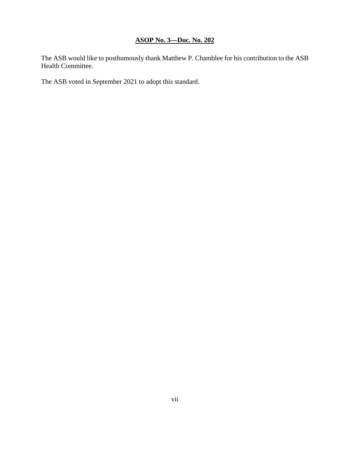The ASB would like to posthumously thank Matthew P. Chamblee for his contribution to the ASB Health Committee.

The ASB voted in September 2021 to adopt this standard.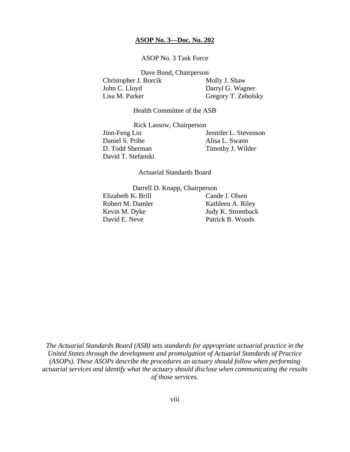ASOP No. 3 Task Force

Dave Bond, Chairperson Christopher J. Borcik Molly J. Shaw John C. Lloyd Darryl G. Wagner Lisa M. Parker Gregory T. Zebolsky

Health Committee of the ASB

Rick Lassow, Chairperson

Daniel S. Pribe Alisa L. Swann D. Todd Sherman Timothy J. Wilder David T. Stefanski

Jinn-Feng Lin Jennifer L. Stevenson

Actuarial Standards Board

Darrell D. Knapp, Chairperson

Elizabeth K. Brill Cande J. Olsen David E. Neve Patrick B. Woods

Robert M. Damler Kathleen A. Riley Kevin M. Dyke Judy K. Stromback

*The Actuarial Standards Board (ASB) sets standards for appropriate actuarial practice in the United States through the development and promulgation of Actuarial Standards of Practice (ASOPs). These ASOPs describe the procedures an actuary should follow when performing actuarial services and identify what the actuary should disclose when communicating the results of those services.*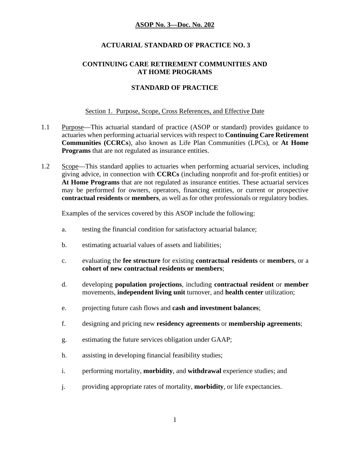# **ACTUARIAL STANDARD OF PRACTICE NO. 3**

#### **CONTINUING CARE RETIREMENT COMMUNITIES AND AT HOME PROGRAMS**

# **STANDARD OF PRACTICE**

#### Section 1. Purpose, Scope, Cross References, and Effective Date

- 1.1 Purpose—This actuarial standard of practice (ASOP or standard) provides guidance to actuaries when performing actuarial services with respect to **Continuing Care Retirement Communities (CCRCs**), also known as Life Plan Communities (LPCs), or **At Home Programs** that are not regulated as insurance entities.
- 1.2 Scope—This standard applies to actuaries when performing actuarial services, including giving advice, in connection with **CCRCs** (including nonprofit and for-profit entities) or **At Home Programs** that are not regulated as insurance entities. These actuarial services may be performed for owners, operators, financing entities, or current or prospective **contractual residents** or **members**, as well as for other professionals or regulatory bodies.

Examples of the services covered by this ASOP include the following:

- a. testing the financial condition for satisfactory actuarial balance;
- b. estimating actuarial values of assets and liabilities;
- c. evaluating the **fee structure** for existing **contractual residents** or **members**, or a **cohort of new contractual residents or members**;
- d. developing **population projections**, including **contractual resident** or **member** movements, **independent living unit** turnover, and **health center** utilization;
- e. projecting future cash flows and **cash and investment balances**;
- f. designing and pricing new **residency agreements** or **membership agreements**;
- g. estimating the future services obligation under GAAP;
- h. assisting in developing financial feasibility studies;
- i. performing mortality, **morbidity**, and **withdrawal** experience studies; and
- j. providing appropriate rates of mortality, **morbidity**, or life expectancies.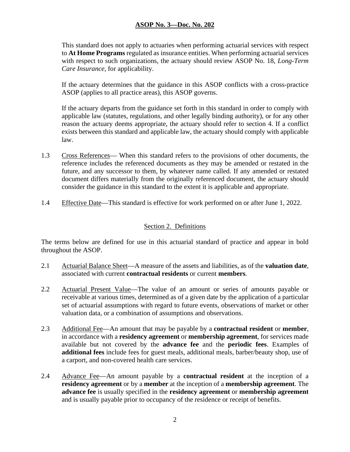This standard does not apply to actuaries when performing actuarial services with respect to **At Home Programs** regulated as insurance entities. When performing actuarial services with respect to such organizations, the actuary should review ASOP No. 18, *Long-Term Care Insurance*, for applicability.

If the actuary determines that the guidance in this ASOP conflicts with a cross-practice ASOP (applies to all practice areas), this ASOP governs.

If the actuary departs from the guidance set forth in this standard in order to comply with applicable law (statutes, regulations, and other legally binding authority), or for any other reason the actuary deems appropriate, the actuary should refer to section 4. If a conflict exists between this standard and applicable law, the actuary should comply with applicable law.

- 1.3 Cross References— When this standard refers to the provisions of other documents, the reference includes the referenced documents as they may be amended or restated in the future, and any successor to them, by whatever name called. If any amended or restated document differs materially from the originally referenced document, the actuary should consider the guidance in this standard to the extent it is applicable and appropriate.
- 1.4 Effective Date—This standard is effective for work performed on or after June 1, 2022.

### Section 2. Definitions

The terms below are defined for use in this actuarial standard of practice and appear in bold throughout the ASOP.

- 2.1 Actuarial Balance Sheet—A measure of the assets and liabilities, as of the **valuation date**, associated with current **contractual residents** or current **members**.
- 2.2 Actuarial Present Value—The value of an amount or series of amounts payable or receivable at various times, determined as of a given date by the application of a particular set of actuarial assumptions with regard to future events, observations of market or other valuation data, or a combination of assumptions and observations.
- 2.3 Additional Fee—An amount that may be payable by a **contractual resident** or **member**, in accordance with a **residency agreement** or **membership agreement**, for services made available but not covered by the **advance fee** and the **periodic fees**. Examples of **additional fees** include fees for guest meals, additional meals, barber/beauty shop, use of a carport, and non-covered health care services.
- 2.4 Advance Fee—An amount payable by a **contractual resident** at the inception of a **residency agreement** or by a **member** at the inception of a **membership agreement**. The **advance fee** is usually specified in the **residency agreement** or **membership agreement** and is usually payable prior to occupancy of the residence or receipt of benefits.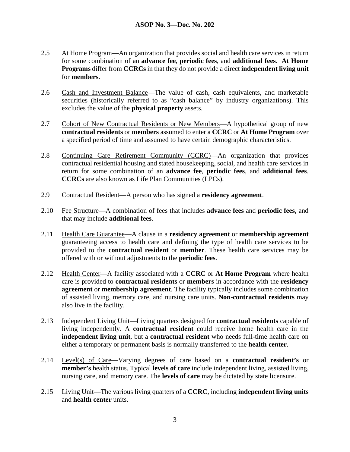- 2.5 At Home Program—An organization that provides social and health care services in return for some combination of an **advance fee**, **periodic fees**, and **additional fees**. **At Home Programs** differ from **CCRCs** in that they do not provide a direct **independent living unit** for **members**.
- 2.6 Cash and Investment Balance—The value of cash, cash equivalents, and marketable securities (historically referred to as "cash balance" by industry organizations). This excludes the value of the **physical property** assets.
- 2.7 Cohort of New Contractual Residents or New Members—A hypothetical group of new **contractual residents** or **members** assumed to enter a **CCRC** or **At Home Program** over a specified period of time and assumed to have certain demographic characteristics.
- 2.8 Continuing Care Retirement Community (CCRC)—An organization that provides contractual residential housing and stated housekeeping, social, and health care services in return for some combination of an **advance fee**, **periodic fees**, and **additional fees**. **CCRCs** are also known as Life Plan Communities (LPCs).
- 2.9 Contractual Resident—A person who has signed a **residency agreement**.
- 2.10 Fee Structure—A combination of fees that includes **advance fees** and **periodic fees**, and that may include **additional fees**.
- 2.11 Health Care Guarantee—A clause in a **residency agreement** or **membership agreement** guaranteeing access to health care and defining the type of health care services to be provided to the **contractual resident** or **member**. These health care services may be offered with or without adjustments to the **periodic fees**.
- 2.12 Health Center—A facility associated with a **CCRC** or **At Home Program** where health care is provided to **contractual residents** or **members** in accordance with the **residency agreement** or **membership agreement**. The facility typically includes some combination of assisted living, memory care, and nursing care units. **Non-contractual residents** may also live in the facility.
- 2.13 Independent Living Unit—Living quarters designed for **contractual residents** capable of living independently. A **contractual resident** could receive home health care in the **independent living unit**, but a **contractual resident** who needs full-time health care on either a temporary or permanent basis is normally transferred to the **health center**.
- 2.14 Level(s) of Care—Varying degrees of care based on a **contractual resident's** or **member's** health status. Typical **levels of care** include independent living, assisted living, nursing care, and memory care. The **levels of care** may be dictated by state licensure.
- 2.15 Living Unit—The various living quarters of a **CCRC**, including **independent living units** and **health center** units.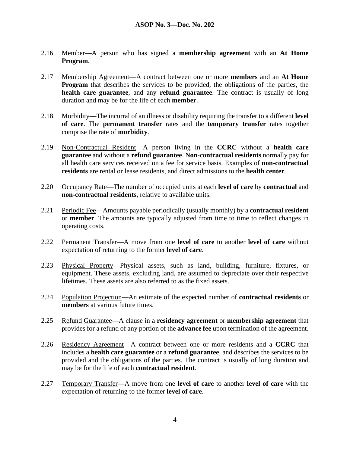- 2.16 Member—A person who has signed a **membership agreement** with an **At Home Program**.
- 2.17 Membership Agreement—A contract between one or more **members** and an **At Home Program** that describes the services to be provided, the obligations of the parties, the **health care guarantee**, and any **refund guarantee**. The contract is usually of long duration and may be for the life of each **member**.
- 2.18 Morbidity—The incurral of an illness or disability requiring the transfer to a different **level of care**. The **permanent transfer** rates and the **temporary transfer** rates together comprise the rate of **morbidity**.
- 2.19 Non-Contractual Resident—A person living in the **CCRC** without a **health care guarantee** and without a **refund guarantee**. **Non-contractual residents** normally pay for all health care services received on a fee for service basis. Examples of **non-contractual residents** are rental or lease residents, and direct admissions to the **health center**.
- 2.20 Occupancy Rate—The number of occupied units at each **level of care** by **contractual** and **non-contractual residents**, relative to available units.
- 2.21 Periodic Fee—Amounts payable periodically (usually monthly) by a **contractual resident** or **member**. The amounts are typically adjusted from time to time to reflect changes in operating costs.
- 2.22 Permanent Transfer—A move from one **level of care** to another **level of care** without expectation of returning to the former **level of care**.
- 2.23 Physical Property—Physical assets, such as land, building, furniture, fixtures, or equipment. These assets, excluding land, are assumed to depreciate over their respective lifetimes. These assets are also referred to as the fixed assets.
- 2.24 Population Projection—An estimate of the expected number of **contractual residents** or **members** at various future times.
- 2.25 Refund Guarantee—A clause in a **residency agreement** or **membership agreement** that provides for a refund of any portion of the **advance fee** upon termination of the agreement.
- 2.26 Residency Agreement—A contract between one or more residents and a **CCRC** that includes a **health care guarantee** or a **refund guarantee**, and describes the services to be provided and the obligations of the parties. The contract is usually of long duration and may be for the life of each **contractual resident**.
- 2.27 Temporary Transfer—A move from one **level of care** to another **level of care** with the expectation of returning to the former **level of care**.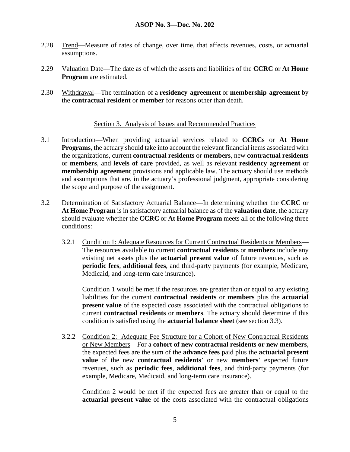- 2.28 Trend—Measure of rates of change, over time, that affects revenues, costs, or actuarial assumptions.
- 2.29 Valuation Date—The date as of which the assets and liabilities of the **CCRC** or **At Home Program** are estimated.
- 2.30 Withdrawal—The termination of a **residency agreement** or **membership agreement** by the **contractual resident** or **member** for reasons other than death.

# Section 3. Analysis of Issues and Recommended Practices

- 3.1 Introduction—When providing actuarial services related to **CCRCs** or **At Home Programs**, the actuary should take into account the relevant financial items associated with the organizations, current **contractual residents** or **members**, new **contractual residents** or **members**, and **levels of care** provided, as well as relevant **residency agreement** or **membership agreement** provisions and applicable law. The actuary should use methods and assumptions that are, in the actuary's professional judgment, appropriate considering the scope and purpose of the assignment.
- 3.2 Determination of Satisfactory Actuarial Balance—In determining whether the **CCRC** or **At Home Program** is in satisfactory actuarial balance as of the **valuation date**, the actuary should evaluate whether the **CCRC** or **At Home Program** meets all of the following three conditions:
	- 3.2.1 Condition 1: Adequate Resources for Current Contractual Residents or Members— The resources available to current **contractual residents** or **members** include any existing net assets plus the **actuarial present value** of future revenues, such as **periodic fees**, **additional fees**, and third-party payments (for example, Medicare, Medicaid, and long-term care insurance).

Condition 1 would be met if the resources are greater than or equal to any existing liabilities for the current **contractual residents** or **members** plus the **actuarial present value** of the expected costs associated with the contractual obligations to current **contractual residents** or **members**. The actuary should determine if this condition is satisfied using the **actuarial balance sheet** (see section 3.3).

3.2.2 Condition 2: Adequate Fee Structure for a Cohort of New Contractual Residents or New Members—For a **cohort of new contractual residents or new members**, the expected fees are the sum of the **advance fees** paid plus the **actuarial present value** of the new **contractual residents**' or new **members**' expected future revenues, such as **periodic fees**, **additional fees**, and third-party payments (for example, Medicare, Medicaid, and long-term care insurance).

Condition 2 would be met if the expected fees are greater than or equal to the **actuarial present value** of the costs associated with the contractual obligations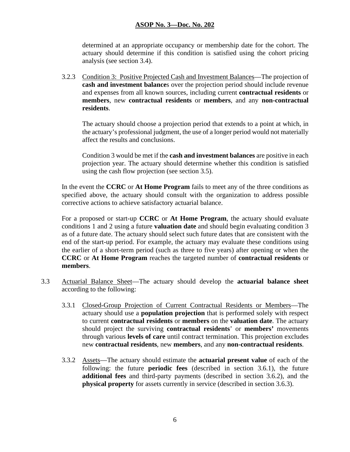determined at an appropriate occupancy or membership date for the cohort. The actuary should determine if this condition is satisfied using the cohort pricing analysis (see section 3.4).

3.2.3 Condition 3: Positive Projected Cash and Investment Balances—The projection of **cash and investment balance**s over the projection period should include revenue and expenses from all known sources, including current **contractual residents** or **members**, new **contractual residents** or **members**, and any **non-contractual residents**.

The actuary should choose a projection period that extends to a point at which, in the actuary's professional judgment, the use of a longer period would not materially affect the results and conclusions.

Condition 3 would be met if the **cash and investment balances** are positive in each projection year. The actuary should determine whether this condition is satisfied using the cash flow projection (see section 3.5).

In the event the **CCRC** or **At Home Program** fails to meet any of the three conditions as specified above, the actuary should consult with the organization to address possible corrective actions to achieve satisfactory actuarial balance.

For a proposed or start-up **CCRC** or **At Home Program**, the actuary should evaluate conditions 1 and 2 using a future **valuation date** and should begin evaluating condition 3 as of a future date. The actuary should select such future dates that are consistent with the end of the start-up period. For example, the actuary may evaluate these conditions using the earlier of a short-term period (such as three to five years) after opening or when the **CCRC** or **At Home Program** reaches the targeted number of **contractual residents** or **members**.

- 3.3 Actuarial Balance Sheet—The actuary should develop the **actuarial balance sheet** according to the following:
	- 3.3.1 Closed-Group Projection of Current Contractual Residents or Members—The actuary should use a **population projection** that is performed solely with respect to current **contractual residents** or **members** on the **valuation date**. The actuary should project the surviving **contractual residents**' or **members'** movements through various **levels of care** until contract termination. This projection excludes new **contractual residents**, new **members**, and any **non-contractual residents**.
	- 3.3.2 Assets—The actuary should estimate the **actuarial present value** of each of the following: the future **periodic fees** (described in section 3.6.1), the future **additional fees** and third-party payments (described in section 3.6.2), and the **physical property** for assets currently in service (described in section 3.6.3).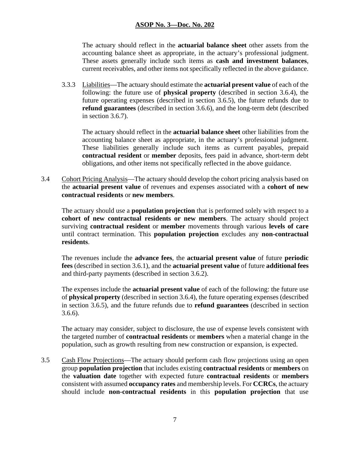The actuary should reflect in the **actuarial balance sheet** other assets from the accounting balance sheet as appropriate, in the actuary's professional judgment. These assets generally include such items as **cash and investment balances**, current receivables, and other items not specifically reflected in the above guidance.

3.3.3 Liabilities—The actuary should estimate the **actuarial present value** of each of the following: the future use of **physical property** (described in section 3.6.4), the future operating expenses (described in section 3.6.5), the future refunds due to **refund guarantees** (described in section 3.6.6), and the long-term debt (described in section 3.6.7).

The actuary should reflect in the **actuarial balance sheet** other liabilities from the accounting balance sheet as appropriate, in the actuary's professional judgment. These liabilities generally include such items as current payables, prepaid **contractual resident** or **member** deposits, fees paid in advance, short-term debt obligations, and other items not specifically reflected in the above guidance.

3.4 Cohort Pricing Analysis—The actuary should develop the cohort pricing analysis based on the **actuarial present value** of revenues and expenses associated with a **cohort of new contractual residents** or **new members**.

The actuary should use a **population projection** that is performed solely with respect to a **cohort of new contractual residents or new members**. The actuary should project surviving **contractual resident** or **member** movements through various **levels of care** until contract termination. This **population projection** excludes any **non-contractual residents**.

The revenues include the **advance fees**, the **actuarial present value** of future **periodic fees** (described in section 3.6.1), and the **actuarial present value** of future **additional fees** and third-party payments (described in section 3.6.2).

The expenses include the **actuarial present value** of each of the following: the future use of **physical property** (described in section 3.6.4), the future operating expenses (described in section 3.6.5), and the future refunds due to **refund guarantees** (described in section 3.6.6).

The actuary may consider, subject to disclosure, the use of expense levels consistent with the targeted number of **contractual residents** or **members** when a material change in the population, such as growth resulting from new construction or expansion, is expected.

3.5 Cash Flow Projections—The actuary should perform cash flow projections using an open group **population projection** that includes existing **contractual residents** or **members** on the **valuation date** together with expected future **contractual residents** or **members** consistent with assumed **occupancy rates** and membership levels. For **CCRCs**, the actuary should include **non-contractual residents** in this **population projection** that use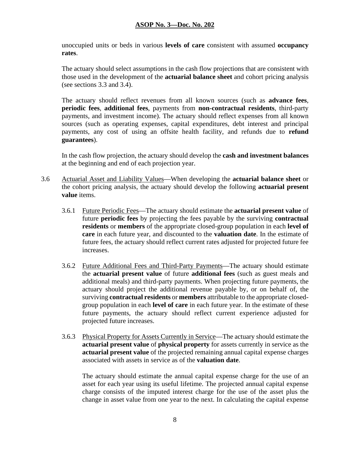unoccupied units or beds in various **levels of care** consistent with assumed **occupancy rates**.

The actuary should select assumptions in the cash flow projections that are consistent with those used in the development of the **actuarial balance sheet** and cohort pricing analysis (see sections 3.3 and 3.4).

The actuary should reflect revenues from all known sources (such as **advance fees**, **periodic fees**, **additional fees**, payments from **non-contractual residents**, third-party payments, and investment income). The actuary should reflect expenses from all known sources (such as operating expenses, capital expenditures, debt interest and principal payments, any cost of using an offsite health facility, and refunds due to **refund guarantees**).

In the cash flow projection, the actuary should develop the **cash and investment balances** at the beginning and end of each projection year.

- 3.6 Actuarial Asset and Liability Values—When developing the **actuarial balance sheet** or the cohort pricing analysis, the actuary should develop the following **actuarial present value** items.
	- 3.6.1 Future Periodic Fees—The actuary should estimate the **actuarial present value** of future **periodic fees** by projecting the fees payable by the surviving **contractual residents** or **members** of the appropriate closed-group population in each **level of care** in each future year, and discounted to the **valuation date**. In the estimate of future fees, the actuary should reflect current rates adjusted for projected future fee increases.
	- 3.6.2 Future Additional Fees and Third-Party Payments—The actuary should estimate the **actuarial present value** of future **additional fees** (such as guest meals and additional meals) and third-party payments. When projecting future payments, the actuary should project the additional revenue payable by, or on behalf of, the surviving **contractual residents** or **members** attributable to the appropriate closedgroup population in each **level of care** in each future year. In the estimate of these future payments, the actuary should reflect current experience adjusted for projected future increases.
	- 3.6.3 Physical Property for Assets Currently in Service—The actuary should estimate the **actuarial present value** of **physical property** for assets currently in service as the **actuarial present value** of the projected remaining annual capital expense charges associated with assets in service as of the **valuation date**.

The actuary should estimate the annual capital expense charge for the use of an asset for each year using its useful lifetime. The projected annual capital expense charge consists of the imputed interest charge for the use of the asset plus the change in asset value from one year to the next. In calculating the capital expense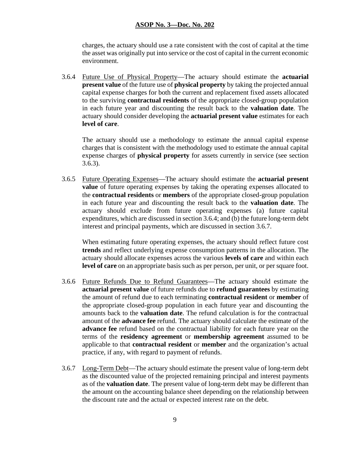charges, the actuary should use a rate consistent with the cost of capital at the time the asset was originally put into service or the cost of capital in the current economic environment.

3.6.4 Future Use of Physical Property—The actuary should estimate the **actuarial present value** of the future use of **physical property** by taking the projected annual capital expense charges for both the current and replacement fixed assets allocated to the surviving **contractual residents** of the appropriate closed-group population in each future year and discounting the result back to the **valuation date**. The actuary should consider developing the **actuarial present value** estimates for each **level of care**.

The actuary should use a methodology to estimate the annual capital expense charges that is consistent with the methodology used to estimate the annual capital expense charges of **physical property** for assets currently in service (see section 3.6.3).

3.6.5 Future Operating Expenses—The actuary should estimate the **actuarial present value** of future operating expenses by taking the operating expenses allocated to the **contractual residents** or **members** of the appropriate closed-group population in each future year and discounting the result back to the **valuation date**. The actuary should exclude from future operating expenses (a) future capital expenditures, which are discussed in section 3.6.4; and (b) the future long-term debt interest and principal payments, which are discussed in section 3.6.7.

When estimating future operating expenses, the actuary should reflect future cost **trends** and reflect underlying expense consumption patterns in the allocation. The actuary should allocate expenses across the various **levels of care** and within each **level of care** on an appropriate basis such as per person, per unit, or per square foot.

- 3.6.6 Future Refunds Due to Refund Guarantees—The actuary should estimate the **actuarial present value** of future refunds due to **refund guarantees** by estimating the amount of refund due to each terminating **contractual resident** or **member** of the appropriate closed-group population in each future year and discounting the amounts back to the **valuation date**. The refund calculation is for the contractual amount of the **advance fee** refund. The actuary should calculate the estimate of the **advance fee** refund based on the contractual liability for each future year on the terms of the **residency agreement** or **membership agreement** assumed to be applicable to that **contractual resident** or **member** and the organization's actual practice, if any, with regard to payment of refunds.
- 3.6.7 Long-Term Debt—The actuary should estimate the present value of long-term debt as the discounted value of the projected remaining principal and interest payments as of the **valuation date**. The present value of long-term debt may be different than the amount on the accounting balance sheet depending on the relationship between the discount rate and the actual or expected interest rate on the debt.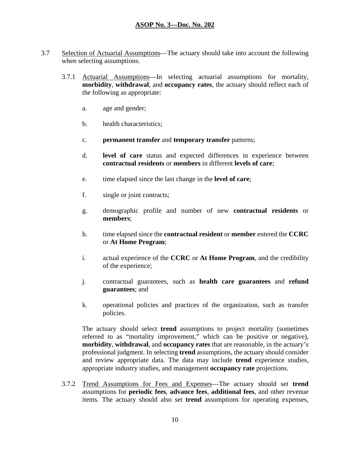- 3.7 Selection of Actuarial Assumptions—The actuary should take into account the following when selecting assumptions.
	- 3.7.1 Actuarial Assumptions—In selecting actuarial assumptions for mortality, **morbidity**, **withdrawal**, and **occupancy rates**, the actuary should reflect each of the following as appropriate:
		- a. age and gender;
		- b. health characteristics;
		- c. **permanent transfer** and **temporary transfer** patterns;
		- d. **level of care** status and expected differences in experience between **contractual residents** or **members** in different **levels of care**;
		- e. time elapsed since the last change in the **level of care**;
		- f. single or joint contracts;
		- g. demographic profile and number of new **contractual residents** or **members**;
		- h. time elapsed since the **contractual resident** or **member** entered the **CCRC** or **At Home Program**;
		- i. actual experience of the **CCRC** or **At Home Program**, and the credibility of the experience;
		- j. contractual guarantees, such as **health care guarantees** and **refund guarantees**; and
		- k. operational policies and practices of the organization, such as transfer policies.

The actuary should select **trend** assumptions to project mortality (sometimes referred to as "mortality improvement," which can be positive or negative), **morbidity**, **withdrawal**, and **occupancy rates** that are reasonable, in the actuary's professional judgment. In selecting **trend** assumptions, the actuary should consider and review appropriate data. The data may include **trend** experience studies, appropriate industry studies, and management **occupancy rate** projections.

3.7.2 Trend Assumptions for Fees and Expenses—The actuary should set **trend** assumptions for **periodic fees**, **advance fees**, **additional fees**, and other revenue items. The actuary should also set **trend** assumptions for operating expenses,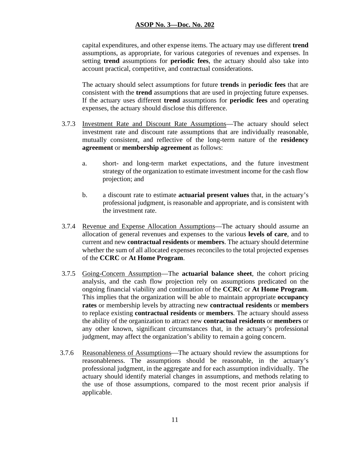capital expenditures, and other expense items. The actuary may use different **trend** assumptions, as appropriate, for various categories of revenues and expenses. In setting **trend** assumptions for **periodic fees**, the actuary should also take into account practical, competitive, and contractual considerations.

The actuary should select assumptions for future **trends** in **periodic fees** that are consistent with the **trend** assumptions that are used in projecting future expenses. If the actuary uses different **trend** assumptions for **periodic fees** and operating expenses, the actuary should disclose this difference.

- 3.7.3 Investment Rate and Discount Rate Assumptions—The actuary should select investment rate and discount rate assumptions that are individually reasonable, mutually consistent, and reflective of the long-term nature of the **residency agreement** or **membership agreement** as follows:
	- a. short- and long-term market expectations, and the future investment strategy of the organization to estimate investment income for the cash flow projection; and
	- b. a discount rate to estimate **actuarial present values** that, in the actuary's professional judgment, is reasonable and appropriate, and is consistent with the investment rate.
- 3.7.4 Revenue and Expense Allocation Assumptions—The actuary should assume an allocation of general revenues and expenses to the various **levels of care**, and to current and new **contractual residents** or **members**. The actuary should determine whether the sum of all allocated expenses reconciles to the total projected expenses of the **CCRC** or **At Home Program**.
- 3.7.5 Going-Concern Assumption—The **actuarial balance sheet**, the cohort pricing analysis, and the cash flow projection rely on assumptions predicated on the ongoing financial viability and continuation of the **CCRC** or **At Home Program**. This implies that the organization will be able to maintain appropriate **occupancy rates** or membership levels by attracting new **contractual residents** or **members** to replace existing **contractual residents** or **members**. The actuary should assess the ability of the organization to attract new **contractual residents** or **members** or any other known, significant circumstances that, in the actuary's professional judgment, may affect the organization's ability to remain a going concern.
- 3.7.6 Reasonableness of Assumptions—The actuary should review the assumptions for reasonableness. The assumptions should be reasonable, in the actuary's professional judgment, in the aggregate and for each assumption individually. The actuary should identify material changes in assumptions, and methods relating to the use of those assumptions, compared to the most recent prior analysis if applicable.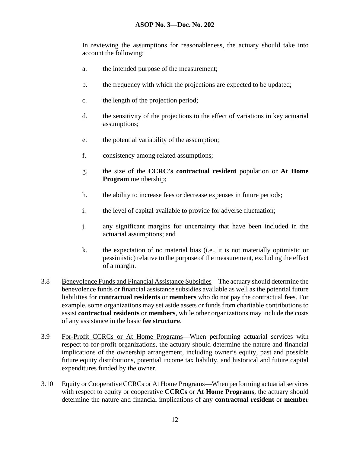In reviewing the assumptions for reasonableness, the actuary should take into account the following:

- a. the intended purpose of the measurement;
- b. the frequency with which the projections are expected to be updated;
- c. the length of the projection period;
- d. the sensitivity of the projections to the effect of variations in key actuarial assumptions;
- e. the potential variability of the assumption;
- f. consistency among related assumptions;
- g. the size of the **CCRC's contractual resident** population or **At Home Program** membership;
- h. the ability to increase fees or decrease expenses in future periods;
- i. the level of capital available to provide for adverse fluctuation;
- j. any significant margins for uncertainty that have been included in the actuarial assumptions; and
- k. the expectation of no material bias (i.e., it is not materially optimistic or pessimistic) relative to the purpose of the measurement, excluding the effect of a margin.
- 3.8 Benevolence Funds and Financial Assistance Subsidies—The actuary should determine the benevolence funds or financial assistance subsidies available as well as the potential future liabilities for **contractual residents** or **members** who do not pay the contractual fees. For example, some organizations may set aside assets or funds from charitable contributions to assist **contractual residents** or **members**, while other organizations may include the costs of any assistance in the basic **fee structure**.
- 3.9 For-Profit CCRCs or At Home Programs—When performing actuarial services with respect to for-profit organizations, the actuary should determine the nature and financial implications of the ownership arrangement, including owner's equity, past and possible future equity distributions, potential income tax liability, and historical and future capital expenditures funded by the owner.
- 3.10 Equity or Cooperative CCRCs or At Home Programs—When performing actuarialservices with respect to equity or cooperative **CCRCs** or **At Home Programs**, the actuary should determine the nature and financial implications of any **contractual resident** or **member**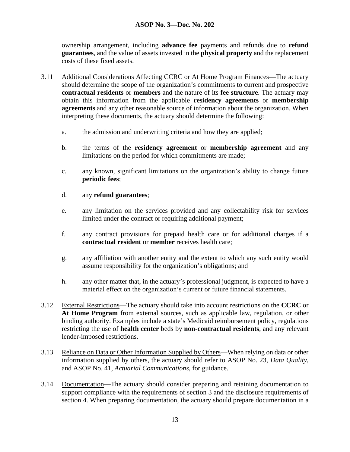ownership arrangement, including **advance fee** payments and refunds due to **refund guarantees**, and the value of assets invested in the **physical property** and the replacement costs of these fixed assets.

- 3.11 Additional Considerations Affecting CCRC or At Home Program Finances—The actuary should determine the scope of the organization's commitments to current and prospective **contractual residents** or **members** and the nature of its **fee structure**. The actuary may obtain this information from the applicable **residency agreements** or **membership agreements** and any other reasonable source of information about the organization. When interpreting these documents, the actuary should determine the following:
	- a. the admission and underwriting criteria and how they are applied;
	- b. the terms of the **residency agreement** or **membership agreement** and any limitations on the period for which commitments are made;
	- c. any known, significant limitations on the organization's ability to change future **periodic fees**;
	- d. any **refund guarantees**;
	- e. any limitation on the services provided and any collectability risk for services limited under the contract or requiring additional payment;
	- f. any contract provisions for prepaid health care or for additional charges if a **contractual resident** or **member** receives health care;
	- g. any affiliation with another entity and the extent to which any such entity would assume responsibility for the organization's obligations; and
	- h. any other matter that, in the actuary's professional judgment, is expected to have a material effect on the organization's current or future financial statements.
- 3.12 External Restrictions—The actuary should take into account restrictions on the **CCRC** or **At Home Program** from external sources, such as applicable law, regulation, or other binding authority. Examples include a state's Medicaid reimbursement policy, regulations restricting the use of **health center** beds by **non-contractual residents**, and any relevant lender-imposed restrictions.
- 3.13 Reliance on Data or Other Information Supplied by Others—When relying on data or other information supplied by others, the actuary should refer to ASOP No. 23, *Data Quality*, and ASOP No. 41, *Actuarial Communications*, for guidance.
- 3.14 Documentation—The actuary should consider preparing and retaining documentation to support compliance with the requirements of section 3 and the disclosure requirements of section 4. When preparing documentation, the actuary should prepare documentation in a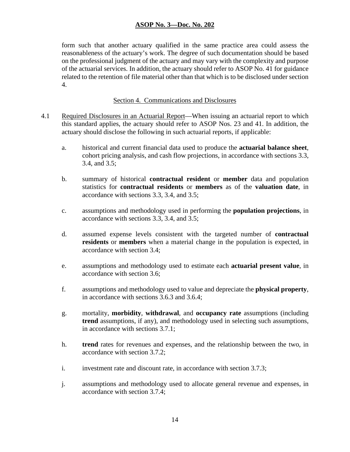form such that another actuary qualified in the same practice area could assess the reasonableness of the actuary's work. The degree of such documentation should be based on the professional judgment of the actuary and may vary with the complexity and purpose of the actuarial services. In addition, the actuary should refer to ASOP No. 41 for guidance related to the retention of file material other than that which is to be disclosed under section 4.

#### Section 4. Communications and Disclosures

- 4.1 Required Disclosures in an Actuarial Report—When issuing an actuarial report to which this standard applies, the actuary should refer to ASOP Nos. 23 and 41. In addition, the actuary should disclose the following in such actuarial reports, if applicable:
	- a. historical and current financial data used to produce the **actuarial balance sheet**, cohort pricing analysis, and cash flow projections, in accordance with sections 3.3, 3.4, and 3.5;
	- b. summary of historical **contractual resident** or **member** data and population statistics for **contractual residents** or **members** as of the **valuation date**, in accordance with sections 3.3, 3.4, and 3.5;
	- c. assumptions and methodology used in performing the **population projections**, in accordance with sections 3.3, 3.4, and 3.5;
	- d. assumed expense levels consistent with the targeted number of **contractual residents** or **members** when a material change in the population is expected, in accordance with section 3.4;
	- e. assumptions and methodology used to estimate each **actuarial present value**, in accordance with section 3.6;
	- f. assumptions and methodology used to value and depreciate the **physical property**, in accordance with sections 3.6.3 and 3.6.4;
	- g. mortality, **morbidity**, **withdrawal**, and **occupancy rate** assumptions (including **trend** assumptions, if any), and methodology used in selecting such assumptions, in accordance with sections 3.7.1;
	- h. **trend** rates for revenues and expenses, and the relationship between the two, in accordance with section 3.7.2;
	- i. investment rate and discount rate, in accordance with section 3.7.3;
	- j. assumptions and methodology used to allocate general revenue and expenses, in accordance with section 3.7.4;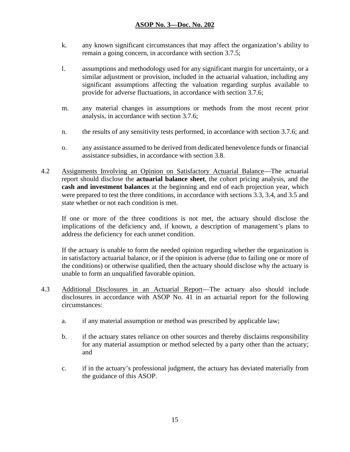- k. any known significant circumstances that may affect the organization's ability to remain a going concern, in accordance with section 3.7.5;
- l. assumptions and methodology used for any significant margin for uncertainty, or a similar adjustment or provision, included in the actuarial valuation, including any significant assumptions affecting the valuation regarding surplus available to provide for adverse fluctuations, in accordance with section 3.7.6;
- m. any material changes in assumptions or methods from the most recent prior analysis, in accordance with section 3.7.6;
- n. the results of any sensitivity tests performed, in accordance with section 3.7.6; and
- o. any assistance assumed to be derived from dedicated benevolence funds or financial assistance subsidies, in accordance with section 3.8.
- 4.2 Assignments Involving an Opinion on Satisfactory Actuarial Balance—The actuarial report should disclose the **actuarial balance sheet**, the cohort pricing analysis, and the **cash and investment balances** at the beginning and end of each projection year, which were prepared to test the three conditions, in accordance with sections 3.3, 3.4, and 3.5 and state whether or not each condition is met.

If one or more of the three conditions is not met, the actuary should disclose the implications of the deficiency and, if known, a description of management's plans to address the deficiency for each unmet condition.

If the actuary is unable to form the needed opinion regarding whether the organization is in satisfactory actuarial balance, or if the opinion is adverse (due to failing one or more of the conditions) or otherwise qualified, then the actuary should disclose why the actuary is unable to form an unqualified favorable opinion.

- 4.3 Additional Disclosures in an Actuarial Report—The actuary also should include disclosures in accordance with ASOP No. 41 in an actuarial report for the following circumstances:
	- a. if any material assumption or method was prescribed by applicable law;
	- b. if the actuary states reliance on other sources and thereby disclaims responsibility for any material assumption or method selected by a party other than the actuary; and
	- c. if in the actuary's professional judgment, the actuary has deviated materially from the guidance of this ASOP.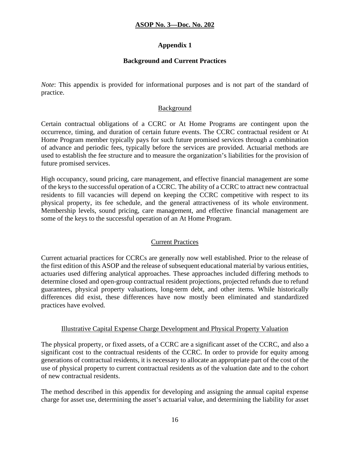# **Appendix 1**

# **Background and Current Practices**

*Note*: This appendix is provided for informational purposes and is not part of the standard of practice.

### Background

Certain contractual obligations of a CCRC or At Home Programs are contingent upon the occurrence, timing, and duration of certain future events. The CCRC contractual resident or At Home Program member typically pays for such future promised services through a combination of advance and periodic fees, typically before the services are provided. Actuarial methods are used to establish the fee structure and to measure the organization's liabilities for the provision of future promised services.

High occupancy, sound pricing, care management, and effective financial management are some of the keys to the successful operation of a CCRC. The ability of a CCRC to attract new contractual residents to fill vacancies will depend on keeping the CCRC competitive with respect to its physical property, its fee schedule, and the general attractiveness of its whole environment. Membership levels, sound pricing, care management, and effective financial management are some of the keys to the successful operation of an At Home Program.

# Current Practices

Current actuarial practices for CCRCs are generally now well established. Prior to the release of the first edition of this ASOP and the release of subsequent educational material by various entities, actuaries used differing analytical approaches. These approaches included differing methods to determine closed and open-group contractual resident projections, projected refunds due to refund guarantees, physical property valuations, long-term debt, and other items. While historically differences did exist, these differences have now mostly been eliminated and standardized practices have evolved.

# Illustrative Capital Expense Charge Development and Physical Property Valuation

The physical property, or fixed assets, of a CCRC are a significant asset of the CCRC, and also a significant cost to the contractual residents of the CCRC. In order to provide for equity among generations of contractual residents, it is necessary to allocate an appropriate part of the cost of the use of physical property to current contractual residents as of the valuation date and to the cohort of new contractual residents.

The method described in this appendix for developing and assigning the annual capital expense charge for asset use, determining the asset's actuarial value, and determining the liability for asset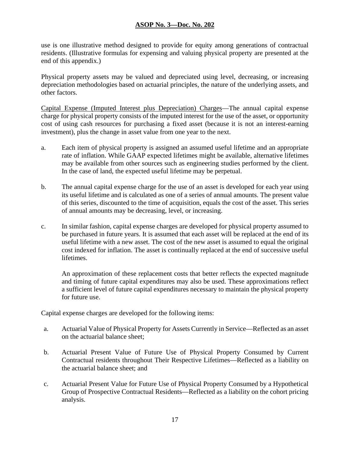use is one illustrative method designed to provide for equity among generations of contractual residents. (Illustrative formulas for expensing and valuing physical property are presented at the end of this appendix.)

Physical property assets may be valued and depreciated using level, decreasing, or increasing depreciation methodologies based on actuarial principles, the nature of the underlying assets, and other factors.

Capital Expense (Imputed Interest plus Depreciation) Charges—The annual capital expense charge for physical property consists of the imputed interest for the use of the asset, or opportunity cost of using cash resources for purchasing a fixed asset (because it is not an interest-earning investment), plus the change in asset value from one year to the next.

- a. Each item of physical property is assigned an assumed useful lifetime and an appropriate rate of inflation. While GAAP expected lifetimes might be available, alternative lifetimes may be available from other sources such as engineering studies performed by the client. In the case of land, the expected useful lifetime may be perpetual.
- b. The annual capital expense charge for the use of an asset is developed for each year using its useful lifetime and is calculated as one of a series of annual amounts. The present value of this series, discounted to the time of acquisition, equals the cost of the asset. This series of annual amounts may be decreasing, level, or increasing.
- c. In similar fashion, capital expense charges are developed for physical property assumed to be purchased in future years. It is assumed that each asset will be replaced at the end of its useful lifetime with a new asset. The cost of the new asset is assumed to equal the original cost indexed for inflation. The asset is continually replaced at the end of successive useful lifetimes.

An approximation of these replacement costs that better reflects the expected magnitude and timing of future capital expenditures may also be used. These approximations reflect a sufficient level of future capital expenditures necessary to maintain the physical property for future use.

Capital expense charges are developed for the following items:

- a. Actuarial Value of Physical Property for Assets Currently in Service—Reflected as an asset on the actuarial balance sheet;
- b. Actuarial Present Value of Future Use of Physical Property Consumed by Current Contractual residents throughout Their Respective Lifetimes—Reflected as a liability on the actuarial balance sheet; and
- c. Actuarial Present Value for Future Use of Physical Property Consumed by a Hypothetical Group of Prospective Contractual Residents—Reflected as a liability on the cohort pricing analysis.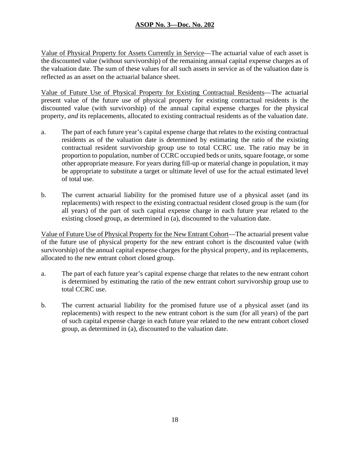Value of Physical Property for Assets Currently in Service—The actuarial value of each asset is the discounted value (without survivorship) of the remaining annual capital expense charges as of the valuation date. The sum of these values for all such assets in service as of the valuation date is reflected as an asset on the actuarial balance sheet.

Value of Future Use of Physical Property for Existing Contractual Residents—The actuarial present value of the future use of physical property for existing contractual residents is the discounted value (with survivorship) of the annual capital expense charges for the physical property, *and* its replacements, allocated to existing contractual residents as of the valuation date.

- a. The part of each future year's capital expense charge that relates to the existing contractual residents as of the valuation date is determined by estimating the ratio of the existing contractual resident survivorship group use to total CCRC use. The ratio may be in proportion to population, number of CCRC occupied beds or units, square footage, or some other appropriate measure. For years during fill-up or material change in population, it may be appropriate to substitute a target or ultimate level of use for the actual estimated level of total use.
- b. The current actuarial liability for the promised future use of a physical asset (and its replacements) with respect to the existing contractual resident closed group is the sum (for all years) of the part of such capital expense charge in each future year related to the existing closed group, as determined in (a), discounted to the valuation date.

Value of Future Use of Physical Property for the New Entrant Cohort—The actuarial present value of the future use of physical property for the new entrant cohort is the discounted value (with survivorship) of the annual capital expense charges for the physical property, and its replacements, allocated to the new entrant cohort closed group.

- a. The part of each future year's capital expense charge that relates to the new entrant cohort is determined by estimating the ratio of the new entrant cohort survivorship group use to total CCRC use.
- b. The current actuarial liability for the promised future use of a physical asset (and its replacements) with respect to the new entrant cohort is the sum (for all years) of the part of such capital expense charge in each future year related to the new entrant cohort closed group, as determined in (a), discounted to the valuation date.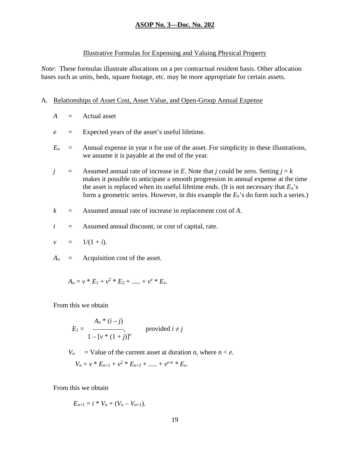#### Illustrative Formulas for Expensing and Valuing Physical Property

*Note*: These formulas illustrate allocations on a per contractual resident basis. Other allocation bases such as units, beds, square footage, etc. may be more appropriate for certain assets.

#### A. Relationships of Asset Cost, Asset Value, and Open-Group Annual Expense

- $A =$  Actual asset
- *e* = Expected years of the asset's useful lifetime.
- $E_n$  = Annual expense in year *n* for use of the asset. For simplicity in these illustrations, we assume it is payable at the end of the year.
- *j* = Assumed annual rate of increase in *E*. Note that *j* could be zero. Setting  $j = k$ makes it possible to anticipate a smooth progression in annual expense at the time the asset is replaced when its useful lifetime ends. (It is not necessary that  $E_n$ 's form a geometric series. However, in this example the  $E_n$ 's do form such a series.)
- *k* = Assumed annual rate of increase in replacement cost of *A*.
- $i =$  Assumed annual discount, or cost of capital, rate.

$$
v = 1/(1+i).
$$

 $A_0$  = Acquisition cost of the asset.

$$
A_0 = v * E_1 + v^2 * E_2 + \dots + v^e * E_e.
$$

From this we obtain

$$
E_1 = \frac{A_0 * (i - j)}{1 - [v * (1 + j)]^e}
$$
 provided  $i \neq j$ 

 $V_n$  = Value of the current asset at duration *n*, where  $n \leq e$ .

$$
V_n = v * E_{n+1} + v^2 * E_{n+2} + \dots + v^{e-n} * E_e.
$$

From this we obtain

$$
E_{n+1} = i * V_n + (V_n - V_{n+1}).
$$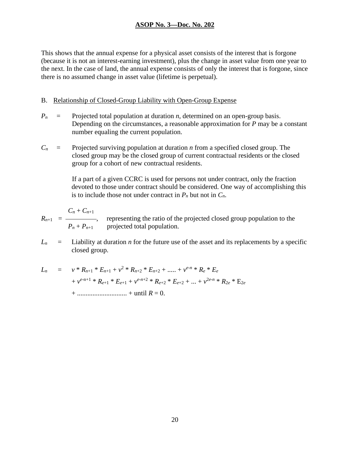This shows that the annual expense for a physical asset consists of the interest that is forgone (because it is not an interest-earning investment), plus the change in asset value from one year to the next. In the case of land, the annual expense consists of only the interest that is forgone, since there is no assumed change in asset value (lifetime is perpetual).

#### B. Relationship of Closed-Group Liability with Open-Group Expense

- $P_n$  = Projected total population at duration *n*, determined on an open-group basis. Depending on the circumstances, a reasonable approximation for *P* may be a constant number equaling the current population.
- $C_n$  = Projected surviving population at duration *n* from a specified closed group. The closed group may be the closed group of current contractual residents or the closed group for a cohort of new contractual residents.

If a part of a given CCRC is used for persons not under contract, only the fraction devoted to those under contract should be considered. One way of accomplishing this is to include those not under contract in  $P_n$  but not in  $C_n$ .

$$
R_{n+1} = \frac{C_n + C_{n+1}}{P_n + P_{n+1}}
$$
, representing the ratio of the projected closed group population to the projected total population.

 $L_n$  = Liability at duration *n* for the future use of the asset and its replacements by a specific closed group.

*Ln* = *v* \* *Rn*+1 \* *En*+1 + *v*<sup>2</sup> \* *Rn*+2 \* *En*+2 + ..... + *ve-n* \* *Re* \* *Ee* + *ve*-n+1 \* *Re*+1 \* *Ee*+1 + *ve-n*+2 \* *Re*+2 \* *Ee*+2 + ... + *v*<sup>2</sup>*e-n* \* *R*<sup>2</sup>*<sup>e</sup>* \* E2*<sup>e</sup>* + ............................. + until *R* = 0.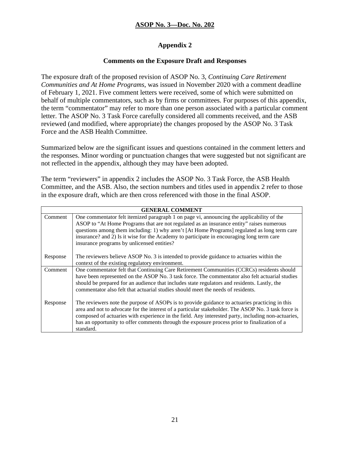# **Appendix 2**

# **Comments on the Exposure Draft and Responses**

The exposure draft of the proposed revision of ASOP No. 3, *Continuing Care Retirement Communities and At Home Programs*, was issued in November 2020 with a comment deadline of February 1, 2021. Five comment letters were received, some of which were submitted on behalf of multiple commentators, such as by firms or committees. For purposes of this appendix, the term "commentator" may refer to more than one person associated with a particular comment letter. The ASOP No. 3 Task Force carefully considered all comments received, and the ASB reviewed (and modified, where appropriate) the changes proposed by the ASOP No. 3 Task Force and the ASB Health Committee.

Summarized below are the significant issues and questions contained in the comment letters and the responses. Minor wording or punctuation changes that were suggested but not significant are not reflected in the appendix, although they may have been adopted.

The term "reviewers" in appendix 2 includes the ASOP No. 3 Task Force, the ASB Health Committee, and the ASB. Also, the section numbers and titles used in appendix 2 refer to those in the exposure draft, which are then cross referenced with those in the final ASOP.

| <b>GENERAL COMMENT</b> |                                                                                                                                                                                                                                                                                                                                                                                                                                  |
|------------------------|----------------------------------------------------------------------------------------------------------------------------------------------------------------------------------------------------------------------------------------------------------------------------------------------------------------------------------------------------------------------------------------------------------------------------------|
| Comment                | One commentator felt itemized paragraph 1 on page vi, announcing the applicability of the<br>ASOP to "At Home Programs that are not regulated as an insurance entity" raises numerous<br>questions among them including: 1) why aren't [At Home Programs] regulated as long term care<br>insurance? and 2) Is it wise for the Academy to participate in encouraging long term care<br>insurance programs by unlicensed entities? |
| Response               | The reviewers believe ASOP No. 3 is intended to provide guidance to actuaries within the<br>context of the existing regulatory environment.                                                                                                                                                                                                                                                                                      |
| Comment                | One commentator felt that Continuing Care Retirement Communities (CCRCs) residents should<br>have been represented on the ASOP No. 3 task force. The commentator also felt actuarial studies<br>should be prepared for an audience that includes state regulators and residents. Lastly, the<br>commentator also felt that actuarial studies should meet the needs of residents.                                                 |
| Response               | The reviewers note the purpose of ASOPs is to provide guidance to actuaries practicing in this<br>area and not to advocate for the interest of a particular stakeholder. The ASOP No. 3 task force is<br>composed of actuaries with experience in the field. Any interested party, including non-actuaries,<br>has an opportunity to offer comments through the exposure process prior to finalization of a<br>standard.         |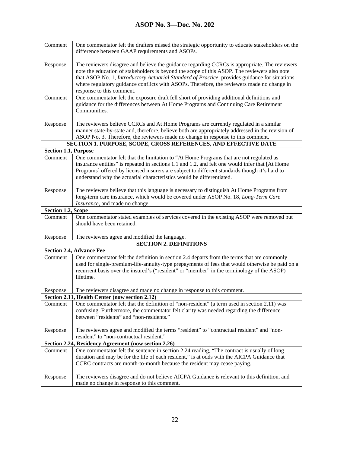| Comment                     | One commentator felt the drafters missed the strategic opportunity to educate stakeholders on the<br>difference between GAAP requirements and ASOPs.                                                                                                                                                                                                                                                                               |
|-----------------------------|------------------------------------------------------------------------------------------------------------------------------------------------------------------------------------------------------------------------------------------------------------------------------------------------------------------------------------------------------------------------------------------------------------------------------------|
| Response                    | The reviewers disagree and believe the guidance regarding CCRCs is appropriate. The reviewers<br>note the education of stakeholders is beyond the scope of this ASOP. The reviewers also note<br>that ASOP No. 1, <i>Introductory Actuarial Standard of Practice</i> , provides guidance for situations<br>where regulatory guidance conflicts with ASOPs. Therefore, the reviewers made no change in<br>response to this comment. |
| Comment                     | One commentator felt the exposure draft fell short of providing additional definitions and<br>guidance for the differences between At Home Programs and Continuing Care Retirement<br>Communities.                                                                                                                                                                                                                                 |
| Response                    | The reviewers believe CCRCs and At Home Programs are currently regulated in a similar<br>manner state-by-state and, therefore, believe both are appropriately addressed in the revision of<br>ASOP No. 3. Therefore, the reviewers made no change in response to this comment.                                                                                                                                                     |
|                             | SECTION 1. PURPOSE, SCOPE, CROSS REFERENCES, AND EFFECTIVE DATE                                                                                                                                                                                                                                                                                                                                                                    |
| <b>Section 1.1, Purpose</b> |                                                                                                                                                                                                                                                                                                                                                                                                                                    |
| Comment                     | One commentator felt that the limitation to "At Home Programs that are not regulated as<br>insurance entities" is repeated in sections 1.1 and 1.2, and felt one would infer that [At Home<br>Programs] offered by licensed insurers are subject to different standards though it's hard to<br>understand why the actuarial characteristics would be differentiated.                                                               |
| Response                    | The reviewers believe that this language is necessary to distinguish At Home Programs from<br>long-term care insurance, which would be covered under ASOP No. 18, Long-Term Care<br>Insurance, and made no change.                                                                                                                                                                                                                 |
| Section 1.2, Scope          |                                                                                                                                                                                                                                                                                                                                                                                                                                    |
| Comment                     | One commentator stated examples of services covered in the existing ASOP were removed but<br>should have been retained.                                                                                                                                                                                                                                                                                                            |
| Response                    | The reviewers agree and modified the language.                                                                                                                                                                                                                                                                                                                                                                                     |
|                             | <b>SECTION 2. DEFINITIONS</b>                                                                                                                                                                                                                                                                                                                                                                                                      |
|                             | <b>Section 2.4, Advance Fee</b>                                                                                                                                                                                                                                                                                                                                                                                                    |
| Comment                     | One commentator felt the definition in section 2.4 departs from the terms that are commonly<br>used for single-premium-life-annuity-type prepayments of fees that would otherwise be paid on a<br>recurrent basis over the insured's ("resident" or "member" in the terminology of the ASOP)<br>lifetime.                                                                                                                          |
| Response                    | The reviewers disagree and made no change in response to this comment.                                                                                                                                                                                                                                                                                                                                                             |
|                             | <b>Section 2.11, Health Center (now section 2.12)</b>                                                                                                                                                                                                                                                                                                                                                                              |
| Comment                     | One commentator felt that the definition of "non-resident" (a term used in section 2.11) was<br>confusing. Furthermore, the commentator felt clarity was needed regarding the difference<br>between "residents" and "non-residents."                                                                                                                                                                                               |
| Response                    | The reviewers agree and modified the terms "resident" to "contractual resident" and "non-<br>resident" to "non-contractual resident."                                                                                                                                                                                                                                                                                              |
|                             | Section 2.24, Residency Agreement (now section 2.26)                                                                                                                                                                                                                                                                                                                                                                               |
| Comment                     | One commentator felt the sentence in section 2.24 reading, "The contract is usually of long<br>duration and may be for the life of each resident," is at odds with the AICPA Guidance that<br>CCRC contracts are month-to-month because the resident may cease paying.                                                                                                                                                             |
| Response                    | The reviewers disagree and do not believe AICPA Guidance is relevant to this definition, and<br>made no change in response to this comment.                                                                                                                                                                                                                                                                                        |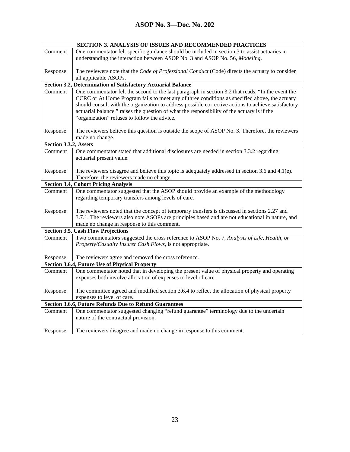| SECTION 3. ANALYSIS OF ISSUES AND RECOMMENDED PRACTICES |                                                                                                     |
|---------------------------------------------------------|-----------------------------------------------------------------------------------------------------|
| Comment                                                 | One commentator felt specific guidance should be included in section 3 to assist actuaries in       |
|                                                         | understanding the interaction between ASOP No. 3 and ASOP No. 56, Modeling.                         |
|                                                         |                                                                                                     |
| Response                                                | The reviewers note that the Code of Professional Conduct (Code) directs the actuary to consider     |
|                                                         | all applicable ASOPs.                                                                               |
|                                                         | Section 3.2, Determination of Satisfactory Actuarial Balance                                        |
| Comment                                                 | One commentator felt the second to the last paragraph in section 3.2 that reads, "In the event the  |
|                                                         | CCRC or At Home Program fails to meet any of three conditions as specified above, the actuary       |
|                                                         | should consult with the organization to address possible corrective actions to achieve satisfactory |
|                                                         | actuarial balance," raises the question of what the responsibility of the actuary is if the         |
|                                                         | "organization" refuses to follow the advice.                                                        |
| Response                                                | The reviewers believe this question is outside the scope of ASOP No. 3. Therefore, the reviewers    |
|                                                         | made no change.                                                                                     |
| Section 3.3.2, Assets                                   |                                                                                                     |
| Comment                                                 | One commentator stated that additional disclosures are needed in section 3.3.2 regarding            |
|                                                         | actuarial present value.                                                                            |
|                                                         |                                                                                                     |
| Response                                                | The reviewers disagree and believe this topic is adequately addressed in section 3.6 and $4.1(e)$ . |
|                                                         | Therefore, the reviewers made no change.                                                            |
|                                                         | <b>Section 3.4, Cohort Pricing Analysis</b>                                                         |
| Comment                                                 | One commentator suggested that the ASOP should provide an example of the methodology                |
|                                                         | regarding temporary transfers among levels of care.                                                 |
|                                                         |                                                                                                     |
| Response                                                | The reviewers noted that the concept of temporary transfers is discussed in sections 2.27 and       |
|                                                         | 3.7.1. The reviewers also note ASOPs are principles based and are not educational in nature, and    |
|                                                         | made no change in response to this comment.                                                         |
|                                                         | <b>Section 3.5, Cash Flow Projections</b>                                                           |
| Comment                                                 | Two commentators suggested the cross reference to ASOP No. 7, Analysis of Life, Health, or          |
|                                                         | Property/Casualty Insurer Cash Flows, is not appropriate.                                           |
|                                                         |                                                                                                     |
| Response                                                | The reviewers agree and removed the cross reference.                                                |
|                                                         | <b>Section 3.6.4, Future Use of Physical Property</b>                                               |
| Comment                                                 | One commentator noted that in developing the present value of physical property and operating       |
|                                                         | expenses both involve allocation of expenses to level of care.                                      |
| Response                                                | The committee agreed and modified section 3.6.4 to reflect the allocation of physical property      |
|                                                         | expenses to level of care.                                                                          |
|                                                         | <b>Section 3.6.6, Future Refunds Due to Refund Guarantees</b>                                       |
| Comment                                                 | One commentator suggested changing "refund guarantee" terminology due to the uncertain              |
|                                                         | nature of the contractual provision.                                                                |
|                                                         |                                                                                                     |
| Response                                                | The reviewers disagree and made no change in response to this comment.                              |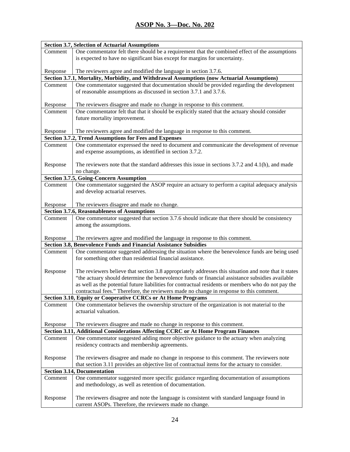| <b>Section 3.7, Selection of Actuarial Assumptions</b> |                                                                                                                                                                               |  |
|--------------------------------------------------------|-------------------------------------------------------------------------------------------------------------------------------------------------------------------------------|--|
| Comment                                                | One commentator felt there should be a requirement that the combined effect of the assumptions<br>is expected to have no significant bias except for margins for uncertainty. |  |
| Response                                               | The reviewers agree and modified the language in section 3.7.6.                                                                                                               |  |
|                                                        | Section 3.7.1, Mortality, Morbidity, and Withdrawal Assumptions (now Actuarial Assumptions)                                                                                   |  |
| Comment                                                | One commentator suggested that documentation should be provided regarding the development                                                                                     |  |
|                                                        | of reasonable assumptions as discussed in section 3.7.1 and 3.7.6.                                                                                                            |  |
| Response                                               | The reviewers disagree and made no change in response to this comment.                                                                                                        |  |
| Comment                                                | One commentator felt that that it should be explicitly stated that the actuary should consider                                                                                |  |
|                                                        | future mortality improvement.                                                                                                                                                 |  |
| Response                                               | The reviewers agree and modified the language in response to this comment.                                                                                                    |  |
|                                                        | Section 3.7.2, Trend Assumptions for Fees and Expenses                                                                                                                        |  |
| Comment                                                | One commentator expressed the need to document and communicate the development of revenue<br>and expense assumptions, as identified in section 3.7.2.                         |  |
| Response                                               | The reviewers note that the standard addresses this issue in sections $3.7.2$ and $4.1(h)$ , and made<br>no change.                                                           |  |
|                                                        | <b>Section 3.7.5, Going-Concern Assumption</b>                                                                                                                                |  |
| Comment                                                | One commentator suggested the ASOP require an actuary to perform a capital adequacy analysis                                                                                  |  |
|                                                        | and develop actuarial reserves.                                                                                                                                               |  |
| Response                                               | The reviewers disagree and made no change.                                                                                                                                    |  |
|                                                        | <b>Section 3.7.6, Reasonableness of Assumptions</b>                                                                                                                           |  |
| Comment                                                | One commentator suggested that section 3.7.6 should indicate that there should be consistency                                                                                 |  |
|                                                        | among the assumptions.                                                                                                                                                        |  |
| Response                                               | The reviewers agree and modified the language in response to this comment.                                                                                                    |  |
|                                                        | Section 3.8, Benevolence Funds and Financial Assistance Subsidies                                                                                                             |  |
| Comment                                                | One commentator suggested addressing the situation where the benevolence funds are being used<br>for something other than residential financial assistance.                   |  |
|                                                        |                                                                                                                                                                               |  |
| Response                                               | The reviewers believe that section 3.8 appropriately addresses this situation and note that it states                                                                         |  |
|                                                        | "the actuary should determine the benevolence funds or financial assistance subsidies available                                                                               |  |
|                                                        | as well as the potential future liabilities for contractual residents or members who do not pay the                                                                           |  |
|                                                        | contractual fees." Therefore, the reviewers made no change in response to this comment.                                                                                       |  |
|                                                        | <b>Section 3.10, Equity or Cooperative CCRCs or At Home Programs</b>                                                                                                          |  |
| Comment                                                | One commentator believes the ownership structure of the organization is not material to the<br>actuarial valuation.                                                           |  |
|                                                        |                                                                                                                                                                               |  |
| Response                                               | The reviewers disagree and made no change in response to this comment.                                                                                                        |  |
|                                                        | Section 3.11, Additional Considerations Affecting CCRC or At Home Program Finances                                                                                            |  |
| Comment                                                | One commentator suggested adding more objective guidance to the actuary when analyzing<br>residency contracts and membership agreements.                                      |  |
| Response                                               | The reviewers disagree and made no change in response to this comment. The reviewers note                                                                                     |  |
|                                                        | that section 3.11 provides an objective list of contractual items for the actuary to consider.<br><b>Section 3.14, Documentation</b>                                          |  |
| Comment                                                |                                                                                                                                                                               |  |
|                                                        | One commentator suggested more specific guidance regarding documentation of assumptions<br>and methodology, as well as retention of documentation.                            |  |
| Response                                               | The reviewers disagree and note the language is consistent with standard language found in<br>current ASOPs. Therefore, the reviewers made no change.                         |  |